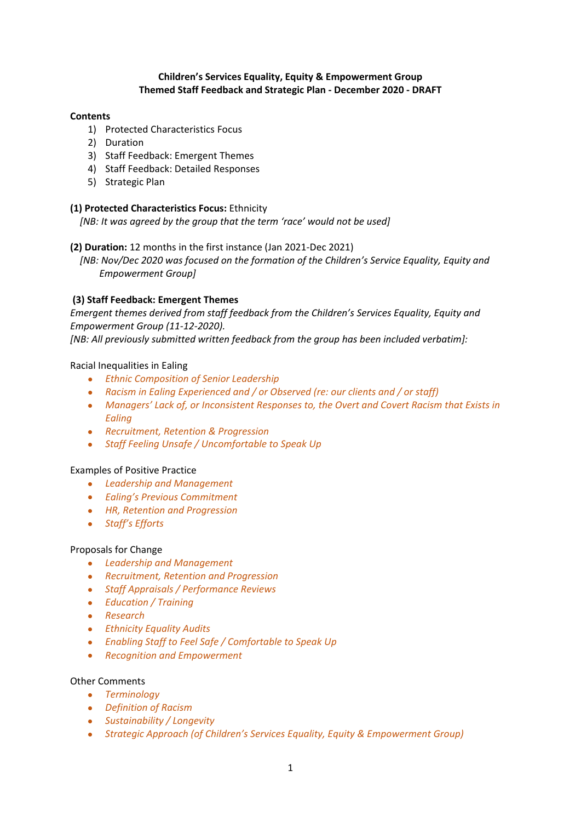## **Children's Services Equality, Equity & Empowerment Group Themed Staff Feedback and Strategic Plan - December 2020 - DRAFT**

## **Contents**

- 1) Protected Characteristics Focus
- 2) Duration
- 3) Staff Feedback: Emergent Themes
- 4) Staff Feedback: Detailed Responses
- 5) Strategic Plan

## **(1) Protected Characteristics Focus:** Ethnicity

 *[NB: It was agreed by the group that the term 'race' would not be used]*

# **(2) Duration:** 12 months in the first instance (Jan 2021-Dec 2021)

 *[NB: Nov/Dec 2020 was focused on the formation of the Children's Service Equality, Equity and Empowerment Group]*

# **(3) Staff Feedback: Emergent Themes**

*Emergent themes derived from staff feedback from the Children's Services Equality, Equity and Empowerment Group (11-12-2020).* 

*[NB: All previously submitted written feedback from the group has been included verbatim]:*

# Racial Inequalities in Ealing

- *Ethnic Composition of Senior Leadership*
- *Racism in Ealing Experienced and / or Observed (re: our clients and / or staff)*
- *Managers' Lack of, or Inconsistent Responses to, the Overt and Covert Racism that Exists in Ealing*
- *Recruitment, Retention & Progression*
- *Staff Feeling Unsafe / Uncomfortable to Speak Up*

## Examples of Positive Practice

- *Leadership and Management*
- *Ealing's Previous Commitment*
- *HR, Retention and Progression*
- *Staff's Efforts*

## Proposals for Change

- *Leadership and Management*
- *Recruitment, Retention and Progression*
- *Staff Appraisals / Performance Reviews*
- *Education / Training*
- *Research*
- *Ethnicity Equality Audits*
- *Enabling Staff to Feel Safe / Comfortable to Speak Up*
- *Recognition and Empowerment*

## Other Comments

- *Terminology*
- *Definition of Racism*
- *Sustainability / Longevity*
- *Strategic Approach (of Children's Services Equality, Equity & Empowerment Group)*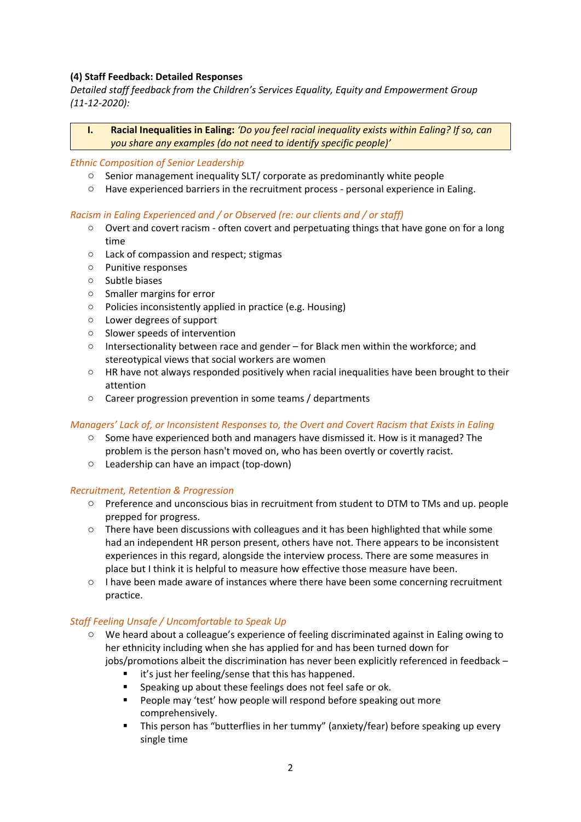# **(4) Staff Feedback: Detailed Responses**

*Detailed staff feedback from the Children's Services Equality, Equity and Empowerment Group (11-12-2020):*

**I. Racial Inequalities in Ealing:** *'Do you feel racial inequality exists within Ealing? If so, can you share any examples (do not need to identify specific people)'*

#### *Ethnic Composition of Senior Leadership*

- o Senior management inequality SLT/ corporate as predominantly white people
- $\circ$  Have experienced barriers in the recruitment process personal experience in Ealing.

## *Racism in Ealing Experienced and / or Observed (re: our clients and / or staff)*

- o Overt and covert racism often covert and perpetuating things that have gone on for a long time
- o Lack of compassion and respect; stigmas
- o Punitive responses
- o Subtle biases
- o Smaller margins for error
- o Policies inconsistently applied in practice (e.g. Housing)
- o Lower degrees of support
- o Slower speeds of intervention
- o Intersectionality between race and gender for Black men within the workforce; and stereotypical views that social workers are women
- $\circ$  HR have not always responded positively when racial inequalities have been brought to their attention
- o Career progression prevention in some teams / departments

## *Managers' Lack of, or Inconsistent Responses to, the Overt and Covert Racism that Exists in Ealing*

- $\circ$  Some have experienced both and managers have dismissed it. How is it managed? The problem is the person hasn't moved on, who has been overtly or covertly racist.
- o Leadership can have an impact (top-down)

## *Recruitment, Retention & Progression*

- o Preference and unconscious bias in recruitment from student to DTM to TMs and up. people prepped for progress.
- o There have been discussions with colleagues and it has been highlighted that while some had an independent HR person present, others have not. There appears to be inconsistent experiences in this regard, alongside the interview process. There are some measures in place but I think it is helpful to measure how effective those measure have been.
- o I have been made aware of instances where there have been some concerning recruitment practice.

## *Staff Feeling Unsafe / Uncomfortable to Speak Up*

- o We heard about a colleague's experience of feeling discriminated against in Ealing owing to her ethnicity including when she has applied for and has been turned down for jobs/promotions albeit the discrimination has never been explicitly referenced in feedback –
	- it's just her feeling/sense that this has happened.
	- Speaking up about these feelings does not feel safe or ok.
	- **People may 'test' how people will respond before speaking out more** comprehensively.
	- This person has "butterflies in her tummy" (anxiety/fear) before speaking up every single time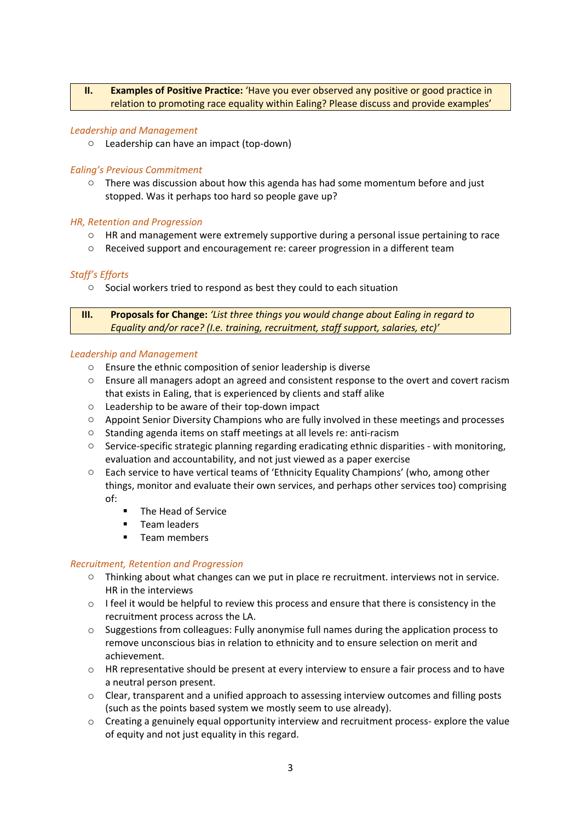# **II. Examples of Positive Practice:** 'Have you ever observed any positive or good practice in relation to promoting race equality within Ealing? Please discuss and provide examples'

## *Leadership and Management*

o Leadership can have an impact (top-down)

## *Ealing's Previous Commitment*

 $\circ$  There was discussion about how this agenda has had some momentum before and just stopped. Was it perhaps too hard so people gave up?

## *HR, Retention and Progression*

- o HR and management were extremely supportive during a personal issue pertaining to race
- o Received support and encouragement re: career progression in a different team

# *Staff's Efforts*

o Social workers tried to respond as best they could to each situation

**III. Proposals for Change:** *'List three things you would change about Ealing in regard to Equality and/or race? (I.e. training, recruitment, staff support, salaries, etc)'*

# *Leadership and Management*

- o Ensure the ethnic composition of senior leadership is diverse
- o Ensure all managers adopt an agreed and consistent response to the overt and covert racism that exists in Ealing, that is experienced by clients and staff alike
- o Leadership to be aware of their top-down impact
- o Appoint Senior Diversity Champions who are fully involved in these meetings and processes
- o Standing agenda items on staff meetings at all levels re: anti-racism
- $\circ$  Service-specific strategic planning regarding eradicating ethnic disparities with monitoring, evaluation and accountability, and not just viewed as a paper exercise
- o Each service to have vertical teams of 'Ethnicity Equality Champions' (who, among other things, monitor and evaluate their own services, and perhaps other services too) comprising of:
	- **The Head of Service**
	- **Team leaders**
	- **Team members**

## *Recruitment, Retention and Progression*

- o Thinking about what changes can we put in place re recruitment. interviews not in service. HR in the interviews
- $\circ$  I feel it would be helpful to review this process and ensure that there is consistency in the recruitment process across the LA.
- $\circ$  Suggestions from colleagues: Fully anonymise full names during the application process to remove unconscious bias in relation to ethnicity and to ensure selection on merit and achievement.
- o HR representative should be present at every interview to ensure a fair process and to have a neutral person present.
- $\circ$  Clear, transparent and a unified approach to assessing interview outcomes and filling posts (such as the points based system we mostly seem to use already).
- $\circ$  Creating a genuinely equal opportunity interview and recruitment process- explore the value of equity and not just equality in this regard.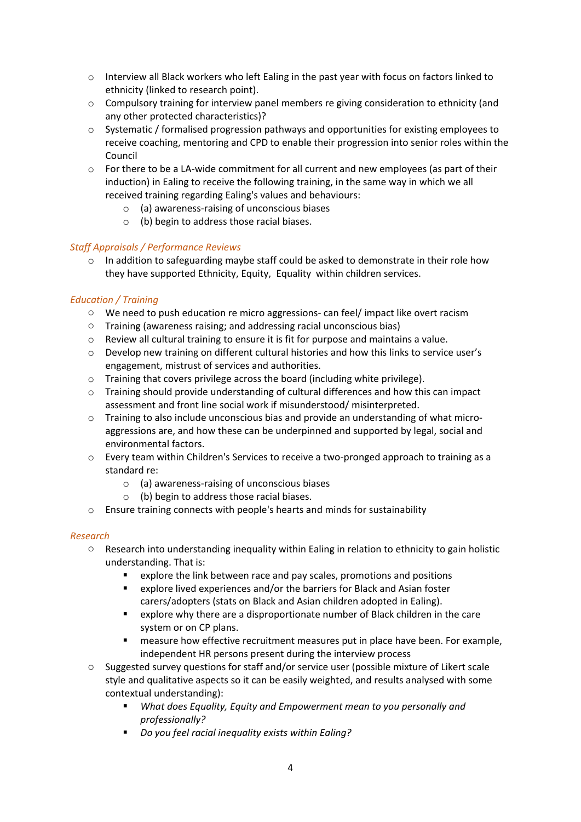- o Interview all Black workers who left Ealing in the past year with focus on factors linked to ethnicity (linked to research point).
- $\circ$  Compulsory training for interview panel members re giving consideration to ethnicity (and any other protected characteristics)?
- $\circ$  Systematic / formalised progression pathways and opportunities for existing employees to receive coaching, mentoring and CPD to enable their progression into senior roles within the Council
- $\circ$  For there to be a LA-wide commitment for all current and new employees (as part of their induction) in Ealing to receive the following training, in the same way in which we all received training regarding Ealing's values and behaviours:
	- o (a) awareness-raising of unconscious biases
	- o (b) begin to address those racial biases.

# *Staff Appraisals / Performance Reviews*

o In addition to safeguarding maybe staff could be asked to demonstrate in their role how they have supported Ethnicity, Equity, Equality within children services.

# *Education / Training*

- o We need to push education re micro aggressions- can feel/ impact like overt racism
- o Training (awareness raising; and addressing racial unconscious bias)
- $\circ$  Review all cultural training to ensure it is fit for purpose and maintains a value.
- o Develop new training on different cultural histories and how this links to service user's engagement, mistrust of services and authorities.
- o Training that covers privilege across the board (including white privilege).
- $\circ$  Training should provide understanding of cultural differences and how this can impact assessment and front line social work if misunderstood/ misinterpreted.
- o Training to also include unconscious bias and provide an understanding of what microaggressions are, and how these can be underpinned and supported by legal, social and environmental factors.
- o Every team within Children's Services to receive a two-pronged approach to training as a standard re:
	- o (a) awareness-raising of unconscious biases
	- o (b) begin to address those racial biases.
- o Ensure training connects with people's hearts and minds for sustainability

## *Research*

- o Research into understanding inequality within Ealing in relation to ethnicity to gain holistic understanding. That is:
	- explore the link between race and pay scales, promotions and positions
	- explore lived experiences and/or the barriers for Black and Asian foster carers/adopters (stats on Black and Asian children adopted in Ealing).
	- explore why there are a disproportionate number of Black children in the care system or on CP plans.
	- measure how effective recruitment measures put in place have been. For example, independent HR persons present during the interview process
- o Suggested survey questions for staff and/or service user (possible mixture of Likert scale style and qualitative aspects so it can be easily weighted, and results analysed with some contextual understanding):
	- *What does Equality, Equity and Empowerment mean to you personally and professionally?*
	- *Do you feel racial inequality exists within Ealing?*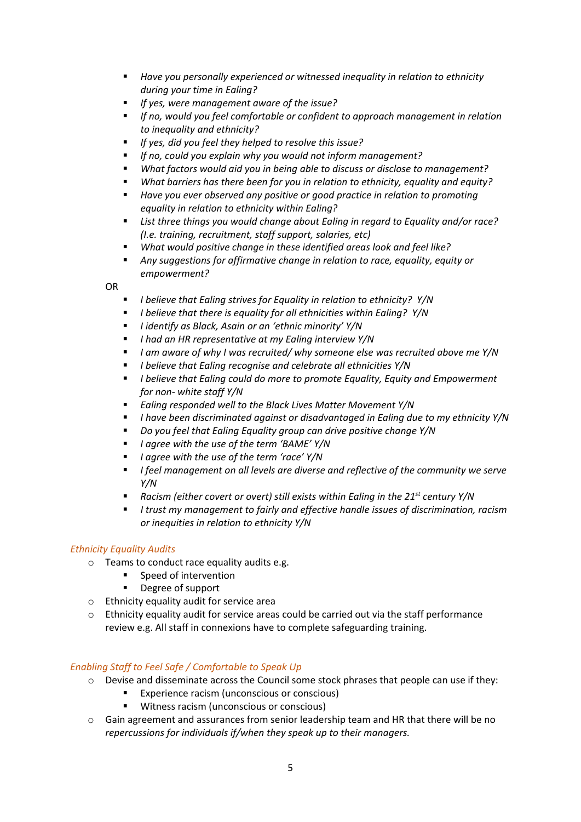- *Have you personally experienced or witnessed inequality in relation to ethnicity during your time in Ealing?*
- *If yes, were management aware of the issue?*
- *If no, would you feel comfortable or confident to approach management in relation to inequality and ethnicity?*
- *If yes, did you feel they helped to resolve this issue?*
- *If no, could you explain why you would not inform management?*
- *What factors would aid you in being able to discuss or disclose to management?*
- *What barriers has there been for you in relation to ethnicity, equality and equity?*
- *Have you ever observed any positive or good practice in relation to promoting equality in relation to ethnicity within Ealing?*
- *List three things you would change about Ealing in regard to Equality and/or race? (I.e. training, recruitment, staff support, salaries, etc)*
- *What would positive change in these identified areas look and feel like?*
- *Any suggestions for affirmative change in relation to race, equality, equity or empowerment?*

OR

- *I believe that Ealing strives for Equality in relation to ethnicity? Y/N*
- *I believe that there is equality for all ethnicities within Ealing? Y/N*
- *I identify as Black, Asain or an 'ethnic minority' Y/N*
- *I had an HR representative at my Ealing interview Y/N*
- *I am aware of why I was recruited/ why someone else was recruited above me Y/N*
- *I believe that Ealing recognise and celebrate all ethnicities Y/N*
- *I believe that Ealing could do more to promote Equality, Equity and Empowerment for non- white staff Y/N*
- *Ealing responded well to the Black Lives Matter Movement Y/N*
- *I have been discriminated against or disadvantaged in Ealing due to my ethnicity Y/N*
- *Do you feel that Ealing Equality group can drive positive change Y/N*
- *I agree with the use of the term 'BAME' Y/N*
- *I agree with the use of the term 'race' Y/N*
- *I feel management on all levels are diverse and reflective of the community we serve Y/N*
- Racism (either covert or overt) still exists within Ealing in the 21<sup>st</sup> century Y/N
- *I trust my management to fairly and effective handle issues of discrimination, racism or inequities in relation to ethnicity Y/N*

# *Ethnicity Equality Audits*

- o Teams to conduct race equality audits e.g.
	- Speed of intervention
	- **•** Degree of support
- o Ethnicity equality audit for service area
- $\circ$  Ethnicity equality audit for service areas could be carried out via the staff performance review e.g. All staff in connexions have to complete safeguarding training.

# *Enabling Staff to Feel Safe / Comfortable to Speak Up*

- o Devise and disseminate across the Council some stock phrases that people can use if they:
	- Experience racism (unconscious or conscious)
	- **Witness racism (unconscious or conscious)**
- o Gain agreement and assurances from senior leadership team and HR that there will be no *repercussions for individuals if/when they speak up to their managers.*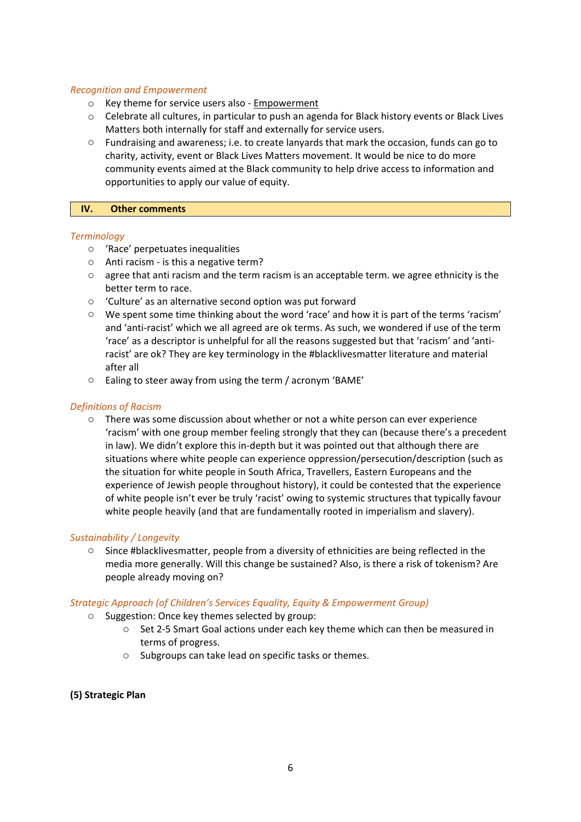#### *Recognition and Empowerment*

- o Key theme for service users also Empowerment
- o Celebrate all cultures, in particular to push an agenda for Black history events or Black Lives Matters both internally for staff and externally for service users.
- o Fundraising and awareness; i.e. to create lanyards that mark the occasion, funds can go to charity, activity, event or Black Lives Matters movement. It would be nice to do more community events aimed at the Black community to help drive access to information and opportunities to apply our value of equity.

#### **IV. Other comments**

#### *Terminology*

- o 'Race' perpetuates inequalities
- o Anti racism is this a negative term?
- $\circ$  agree that anti racism and the term racism is an acceptable term. we agree ethnicity is the better term to race.
- o 'Culture' as an alternative second option was put forward
- o We spent some time thinking about the word 'race' and how it is part of the terms 'racism' and 'anti-racist' which we all agreed are ok terms. As such, we wondered if use of the term 'race' as a descriptor is unhelpful for all the reasons suggested but that 'racism' and 'antiracist' are ok? They are key terminology in the #blacklivesmatter literature and material after all
- o Ealing to steer away from using the term / acronym 'BAME'

#### *Definitions of Racism*

 $\circ$  There was some discussion about whether or not a white person can ever experience 'racism' with one group member feeling strongly that they can (because there's a precedent in law). We didn't explore this in-depth but it was pointed out that although there are situations where white people can experience oppression/persecution/description (such as the situation for white people in South Africa, Travellers, Eastern Europeans and the experience of Jewish people throughout history), it could be contested that the experience of white people isn't ever be truly 'racist' owing to systemic structures that typically favour white people heavily (and that are fundamentally rooted in imperialism and slavery).

## *Sustainability / Longevity*

o Since #blacklivesmatter, people from a diversity of ethnicities are being reflected in the media more generally. Will this change be sustained? Also, is there a risk of tokenism? Are people already moving on?

#### *Strategic Approach (of Children's Services Equality, Equity & Empowerment Group)*

- o Suggestion: Once key themes selected by group:
	- o Set 2-5 Smart Goal actions under each key theme which can then be measured in terms of progress.
	- o Subgroups can take lead on specific tasks or themes.

## **(5) Strategic Plan**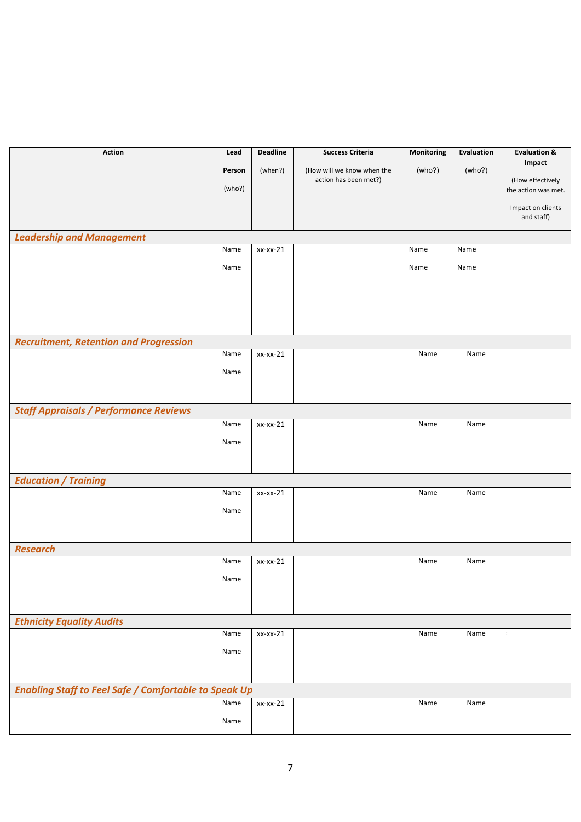| <b>Action</b>                                                | Lead   | <b>Deadline</b> | <b>Success Criteria</b>    | Monitoring | Evaluation | <b>Evaluation &amp;</b>         |
|--------------------------------------------------------------|--------|-----------------|----------------------------|------------|------------|---------------------------------|
|                                                              | Person | (when?)         | (How will we know when the | (who?)     | (who?)     | Impact                          |
|                                                              | (who?) |                 | action has been met?)      |            |            | (How effectively                |
|                                                              |        |                 |                            |            |            | the action was met.             |
|                                                              |        |                 |                            |            |            | Impact on clients<br>and staff) |
| <b>Leadership and Management</b>                             |        |                 |                            |            |            |                                 |
|                                                              | Name   | $xx-xx-21$      |                            | Name       | Name       |                                 |
|                                                              | Name   |                 |                            | Name       | Name       |                                 |
|                                                              |        |                 |                            |            |            |                                 |
|                                                              |        |                 |                            |            |            |                                 |
|                                                              |        |                 |                            |            |            |                                 |
|                                                              |        |                 |                            |            |            |                                 |
| <b>Recruitment, Retention and Progression</b>                |        |                 |                            |            |            |                                 |
|                                                              | Name   | $xx-xx-21$      |                            | Name       | Name       |                                 |
|                                                              | Name   |                 |                            |            |            |                                 |
|                                                              |        |                 |                            |            |            |                                 |
| <b>Staff Appraisals / Performance Reviews</b>                |        |                 |                            |            |            |                                 |
|                                                              | Name   | xx-xx-21        |                            | Name       | Name       |                                 |
|                                                              | Name   |                 |                            |            |            |                                 |
|                                                              |        |                 |                            |            |            |                                 |
|                                                              |        |                 |                            |            |            |                                 |
| <b>Education / Training</b>                                  |        |                 |                            |            |            |                                 |
|                                                              | Name   | xx-xx-21        |                            | Name       | Name       |                                 |
|                                                              | Name   |                 |                            |            |            |                                 |
|                                                              |        |                 |                            |            |            |                                 |
| <b>Research</b>                                              |        |                 |                            |            |            |                                 |
|                                                              | Name   | $xx-xx-21$      |                            | Name       | Name       |                                 |
|                                                              | Name   |                 |                            |            |            |                                 |
|                                                              |        |                 |                            |            |            |                                 |
|                                                              |        |                 |                            |            |            |                                 |
| <b>Ethnicity Equality Audits</b>                             |        |                 |                            |            |            |                                 |
|                                                              | Name   | xx-xx-21        |                            | Name       | Name       | $\ddot{\cdot}$                  |
|                                                              | Name   |                 |                            |            |            |                                 |
|                                                              |        |                 |                            |            |            |                                 |
|                                                              |        |                 |                            |            |            |                                 |
| <b>Enabling Staff to Feel Safe / Comfortable to Speak Up</b> | Name   | xx-xx-21        |                            | Name       | Name       |                                 |
|                                                              |        |                 |                            |            |            |                                 |
|                                                              | Name   |                 |                            |            |            |                                 |